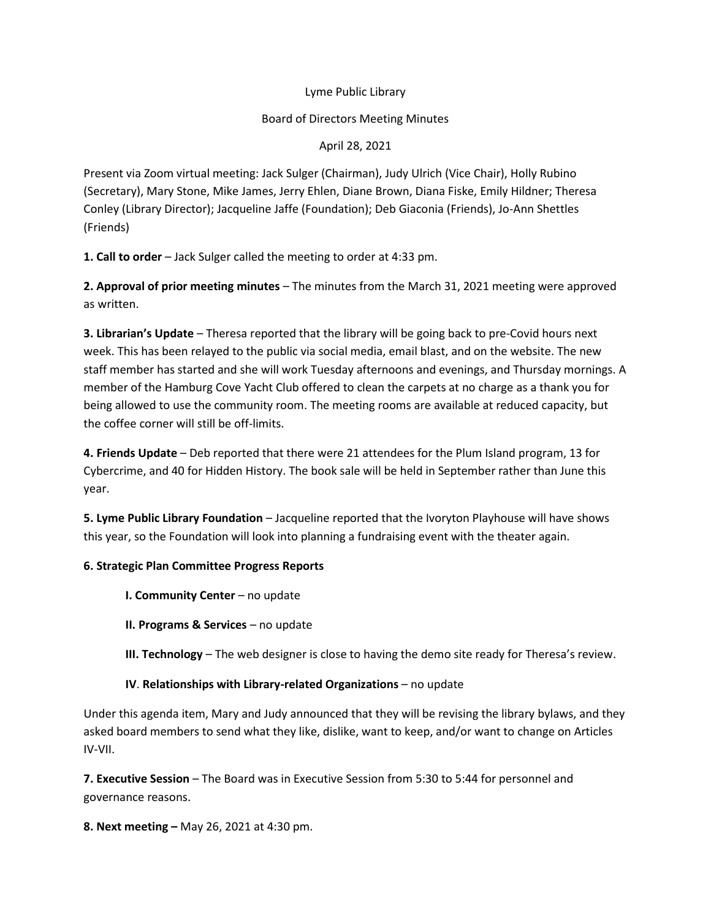### Lyme Public Library

### Board of Directors Meeting Minutes

### April 28, 2021

Present via Zoom virtual meeting: Jack Sulger (Chairman), Judy Ulrich (Vice Chair), Holly Rubino (Secretary), Mary Stone, Mike James, Jerry Ehlen, Diane Brown, Diana Fiske, Emily Hildner; Theresa Conley (Library Director); Jacqueline Jaffe (Foundation); Deb Giaconia (Friends), Jo-Ann Shettles (Friends)

**1. Call to order** – Jack Sulger called the meeting to order at 4:33 pm.

**2. Approval of prior meeting minutes** – The minutes from the March 31, 2021 meeting were approved as written.

**3. Librarian's Update** – Theresa reported that the library will be going back to pre-Covid hours next week. This has been relayed to the public via social media, email blast, and on the website. The new staff member has started and she will work Tuesday afternoons and evenings, and Thursday mornings. A member of the Hamburg Cove Yacht Club offered to clean the carpets at no charge as a thank you for being allowed to use the community room. The meeting rooms are available at reduced capacity, but the coffee corner will still be off-limits.

**4. Friends Update** – Deb reported that there were 21 attendees for the Plum Island program, 13 for Cybercrime, and 40 for Hidden History. The book sale will be held in September rather than June this year.

**5. Lyme Public Library Foundation** – Jacqueline reported that the Ivoryton Playhouse will have shows this year, so the Foundation will look into planning a fundraising event with the theater again.

# **6. Strategic Plan Committee Progress Reports**

**I. Community Center** – no update

**II. Programs & Services** – no update

**III. Technology** – The web designer is close to having the demo site ready for Theresa's review.

# **IV**. **Relationships with Library-related Organizations** – no update

Under this agenda item, Mary and Judy announced that they will be revising the library bylaws, and they asked board members to send what they like, dislike, want to keep, and/or want to change on Articles IV-VII.

**7. Executive Session** – The Board was in Executive Session from 5:30 to 5:44 for personnel and governance reasons.

**8. Next meeting –** May 26, 2021 at 4:30 pm.